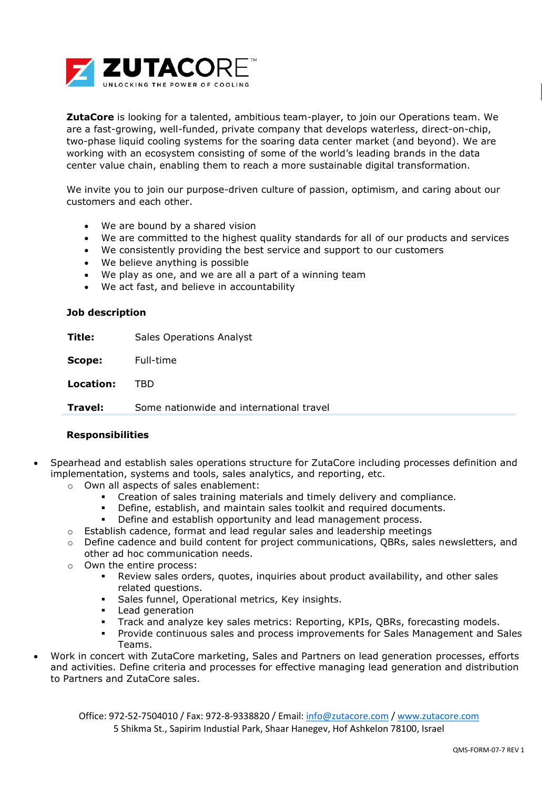

**ZutaCore** is looking for a talented, ambitious team-player, to join our Operations team. We are a fast-growing, well-funded, private company that develops waterless, direct-on-chip, two-phase liquid cooling systems for the soaring data center market (and beyond). We are working with an ecosystem consisting of some of the world's leading brands in the data center value chain, enabling them to reach a more sustainable digital transformation.

We invite you to join our purpose-driven culture of passion, optimism, and caring about our customers and each other.

- We are bound by a shared vision
- We are committed to the highest quality standards for all of our products and services
- We consistently providing the best service and support to our customers
- We believe anything is possible
- We play as one, and we are all a part of a winning team
- We act fast, and believe in accountability

## **Job description**

**Title:** Sales Operations Analyst

**Scope:** Full-time

**Location:** TBD

**Travel:** Some nationwide and international travel

## **Responsibilities**

- Spearhead and establish sales operations structure for ZutaCore including processes definition and implementation, systems and tools, sales analytics, and reporting, etc.
	- o Own all aspects of sales enablement:
		- Creation of sales training materials and timely delivery and compliance.
		- Define, establish, and maintain sales toolkit and required documents.
		- Define and establish opportunity and lead management process.
	- $\circ$  Establish cadence, format and lead regular sales and leadership meetings
	- $\circ$  Define cadence and build content for project communications, QBRs, sales newsletters, and other ad hoc communication needs.
	- o Own the entire process:
		- Review sales orders, quotes, inquiries about product availability, and other sales related questions.
		- Sales funnel, Operational metrics, Key insights.
		- Lead generation
		- Track and analyze key sales metrics: Reporting, KPIs, QBRs, forecasting models.
		- Provide continuous sales and process improvements for Sales Management and Sales Teams.
- Work in concert with ZutaCore marketing, Sales and Partners on lead generation processes, efforts and activities. Define criteria and processes for effective managing lead generation and distribution to Partners and ZutaCore sales.

Office: 972-52-7504010 / Fax: 972-8-9338820 / Email: [info@zutacore.com](mailto:info@zutacore.com) / [www.zutacore.com](http://www.zutacore.com/) 5 Shikma St., Sapirim Industial Park, Shaar Hanegev, Hof Ashkelon 78100, Israel